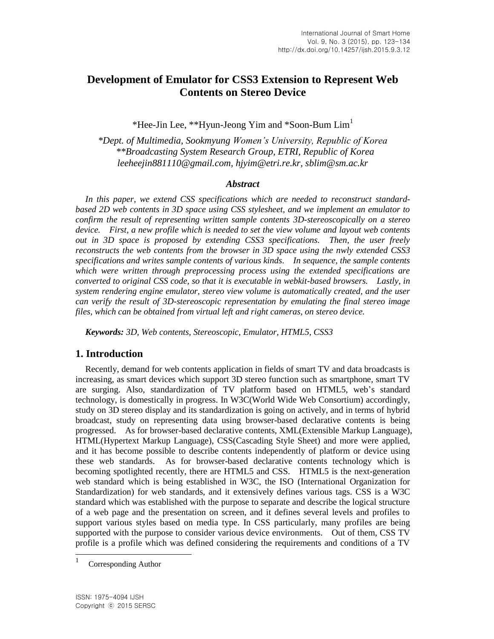# **Development of Emulator for CSS3 Extension to Represent Web Contents on Stereo Device**

\*Hee-Jin Lee, \*\*Hyun-Jeong Yim and \*Soon-Bum  $\text{Lim}^1$ 

*\*Dept. of Multimedia, Sookmyung Women's University, Republic of Korea \*\*Broadcasting System Research Group, ETRI, Republic of Korea leeheejin881110@gmail.com, hjyim@etri.re.kr, sblim@sm.ac.kr*

#### *Abstract*

*In this paper, we extend CSS specifications which are needed to reconstruct standardbased 2D web contents in 3D space using CSS stylesheet, and we implement an emulator to confirm the result of representing written sample contents 3D-stereoscopically on a stereo device. First, a new profile which is needed to set the view volume and layout web contents out in 3D space is proposed by extending CSS3 specifications. Then, the user freely reconstructs the web contents from the browser in 3D space using the nwly extended CSS3 specifications and writes sample contents of various kinds. In sequence, the sample contents which were written through preprocessing process using the extended specifications are converted to original CSS code, so that it is executable in webkit-based browsers. Lastly, in system rendering engine emulator, stereo view volume is automatically created, and the user can verify the result of 3D-stereoscopic representation by emulating the final stereo image files, which can be obtained from virtual left and right cameras, on stereo device.*

*Keywords: 3D, Web contents, Stereoscopic, Emulator, HTML5, CSS3*

## **1. Introduction**

Recently, demand for web contents application in fields of smart TV and data broadcasts is increasing, as smart devices which support 3D stereo function such as smartphone, smart TV are surging. Also, standardization of TV platform based on HTML5, web's standard technology, is domestically in progress. In W3C(World Wide Web Consortium) accordingly, study on 3D stereo display and its standardization is going on actively, and in terms of hybrid broadcast, study on representing data using browser-based declarative contents is being progressed. As for browser-based declarative contents, XML(Extensible Markup Language), HTML(Hypertext Markup Language), CSS(Cascading Style Sheet) and more were applied, and it has become possible to describe contents independently of platform or device using these web standards. As for browser-based declarative contents technology which is becoming spotlighted recently, there are HTML5 and CSS. HTML5 is the next-generation web standard which is being established in W3C, the ISO (International Organization for Standardization) for web standards, and it extensively defines various tags. CSS is a W3C standard which was established with the purpose to separate and describe the logical structure of a web page and the presentation on screen, and it defines several levels and profiles to support various styles based on media type. In CSS particularly, many profiles are being supported with the purpose to consider various device environments. Out of them, CSS TV profile is a profile which was defined considering the requirements and conditions of a TV

 1 Corresponding Author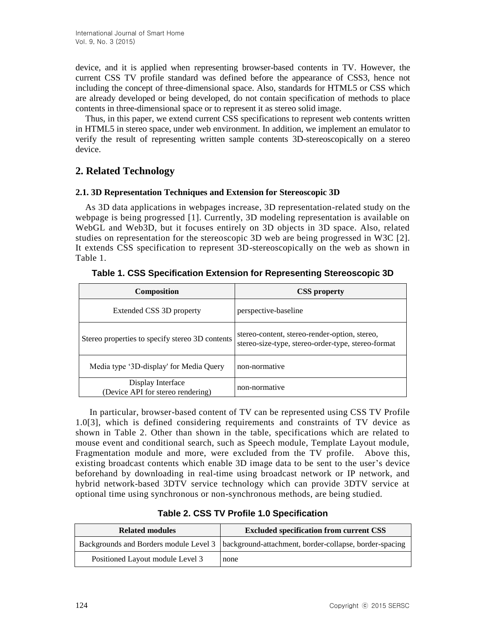device, and it is applied when representing browser-based contents in TV. However, the current CSS TV profile standard was defined before the appearance of CSS3, hence not including the concept of three-dimensional space. Also, standards for HTML5 or CSS which are already developed or being developed, do not contain specification of methods to place contents in three-dimensional space or to represent it as stereo solid image.

Thus, in this paper, we extend current CSS specifications to represent web contents written in HTML5 in stereo space, under web environment. In addition, we implement an emulator to verify the result of representing written sample contents 3D-stereoscopically on a stereo device.

# **2. Related Technology**

#### **2.1. 3D Representation Techniques and Extension for Stereoscopic 3D**

As 3D data applications in webpages increase, 3D representation-related study on the webpage is being progressed [1]. Currently, 3D modeling representation is available on WebGL and Web3D, but it focuses entirely on 3D objects in 3D space. Also, related studies on representation for the stereoscopic 3D web are being progressed in W3C [2]. It extends CSS specification to represent 3D-stereoscopically on the web as shown in Table 1.

| <b>Composition</b>                                     | <b>CSS</b> property                                                                                 |
|--------------------------------------------------------|-----------------------------------------------------------------------------------------------------|
| Extended CSS 3D property                               | perspective-baseline                                                                                |
| Stereo properties to specify stereo 3D contents        | stereo-content, stereo-render-option, stereo,<br>stereo-size-type, stereo-order-type, stereo-format |
| Media type '3D-display' for Media Query                | non-normative                                                                                       |
| Display Interface<br>(Device API for stereo rendering) | non-normative                                                                                       |

**Table 1. CSS Specification Extension for Representing Stereoscopic 3D**

In particular, browser-based content of TV can be represented using CSS TV Profile 1.0[3], which is defined considering requirements and constraints of TV device as shown in Table 2. Other than shown in the table, specifications which are related to mouse event and conditional search, such as Speech module, Template Layout module, Fragmentation module and more, were excluded from the TV profile. Above this, existing broadcast contents which enable 3D image data to be sent to the user's device beforehand by downloading in real-time using broadcast network or IP network, and hybrid network-based 3DTV service technology which can provide 3DTV service at optional time using synchronous or non-synchronous methods, are being studied.

| <b>Related modules</b>           | <b>Excluded specification from current CSS</b>                                                  |
|----------------------------------|-------------------------------------------------------------------------------------------------|
|                                  | Backgrounds and Borders module Level 3   background-attachment, border-collapse, border-spacing |
| Positioned Layout module Level 3 | none                                                                                            |

**Table 2. CSS TV Profile 1.0 Specification**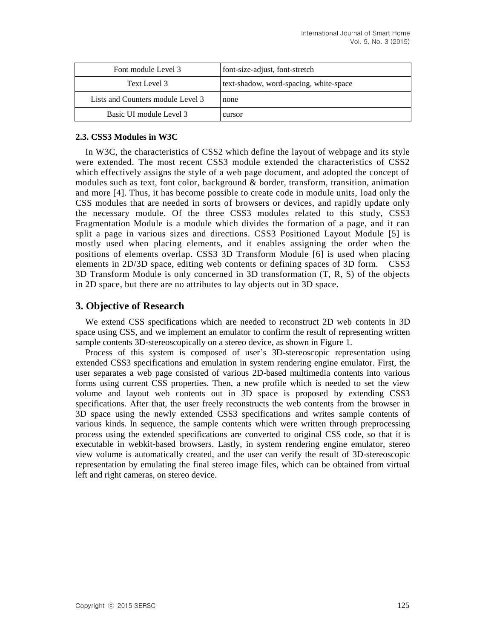| Font module Level 3               | font-size-adjust, font-stretch         |
|-----------------------------------|----------------------------------------|
| Text Level 3                      | text-shadow, word-spacing, white-space |
| Lists and Counters module Level 3 | none                                   |
| Basic UI module Level 3           | cursor                                 |

#### **2.3. CSS3 Modules in W3C**

In W3C, the characteristics of CSS2 which define the layout of webpage and its style were extended. The most recent CSS3 module extended the characteristics of CSS2 which effectively assigns the style of a web page document, and adopted the concept of modules such as text, font color, background & border, transform, transition, animation and more [4]. Thus, it has become possible to create code in module units, load only the CSS modules that are needed in sorts of browsers or devices, and rapidly update only the necessary module. Of the three CSS3 modules related to this study, CSS3 Fragmentation Module is a module which divides the formation of a page, and it can split a page in various sizes and directions. CSS3 Positioned Layout Module [5] is mostly used when placing elements, and it enables assigning the order when the positions of elements overlap. CSS3 3D Transform Module [6] is used when placing elements in 2D/3D space, editing web contents or defining spaces of 3D form. CSS3 3D Transform Module is only concerned in 3D transformation (T, R, S) of the objects in 2D space, but there are no attributes to lay objects out in 3D space.

#### **3. Objective of Research**

We extend CSS specifications which are needed to reconstruct 2D web contents in 3D space using CSS, and we implement an emulator to confirm the result of representing written sample contents 3D-stereoscopically on a stereo device, as shown in Figure 1.

Process of this system is composed of user's 3D-stereoscopic representation using extended CSS3 specifications and emulation in system rendering engine emulator. First, the user separates a web page consisted of various 2D-based multimedia contents into various forms using current CSS properties. Then, a new profile which is needed to set the view volume and layout web contents out in 3D space is proposed by extending CSS3 specifications. After that, the user freely reconstructs the web contents from the browser in 3D space using the newly extended CSS3 specifications and writes sample contents of various kinds. In sequence, the sample contents which were written through preprocessing process using the extended specifications are converted to original CSS code, so that it is executable in webkit-based browsers. Lastly, in system rendering engine emulator, stereo view volume is automatically created, and the user can verify the result of 3D-stereoscopic representation by emulating the final stereo image files, which can be obtained from virtual left and right cameras, on stereo device.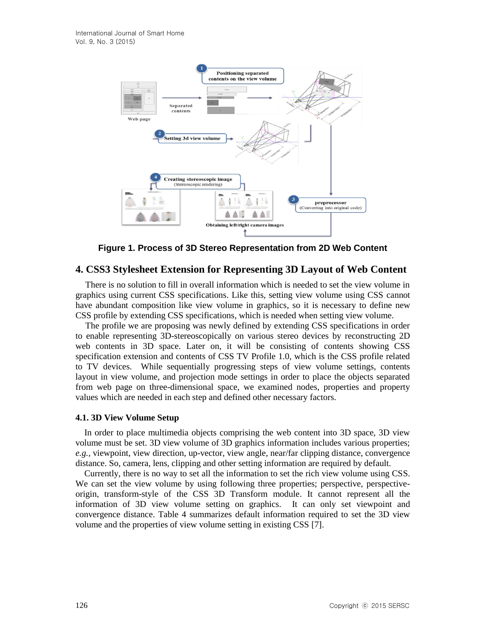

**Figure 1. Process of 3D Stereo Representation from 2D Web Content**

# **4. CSS3 Stylesheet Extension for Representing 3D Layout of Web Content**

There is no solution to fill in overall information which is needed to set the view volume in graphics using current CSS specifications. Like this, setting view volume using CSS cannot have abundant composition like view volume in graphics, so it is necessary to define new CSS profile by extending CSS specifications, which is needed when setting view volume.

The profile we are proposing was newly defined by extending CSS specifications in order to enable representing 3D-stereoscopically on various stereo devices by reconstructing 2D web contents in 3D space. Later on, it will be consisting of contents showing CSS specification extension and contents of CSS TV Profile 1.0, which is the CSS profile related to TV devices. While sequentially progressing steps of view volume settings, contents layout in view volume, and projection mode settings in order to place the objects separated from web page on three-dimensional space, we examined nodes, properties and property values which are needed in each step and defined other necessary factors.

#### **4.1. 3D View Volume Setup**

In order to place multimedia objects comprising the web content into 3D space, 3D view volume must be set. 3D view volume of 3D graphics information includes various properties; *e.g.,* viewpoint, view direction, up-vector, view angle, near/far clipping distance, convergence distance. So, camera, lens, clipping and other setting information are required by default.

Currently, there is no way to set all the information to set the rich view volume using CSS. We can set the view volume by using following three properties; perspective, perspectiveorigin, transform-style of the CSS 3D Transform module. It cannot represent all the information of 3D view volume setting on graphics. It can only set viewpoint and convergence distance. Table 4 summarizes default information required to set the 3D view volume and the properties of view volume setting in existing CSS [7].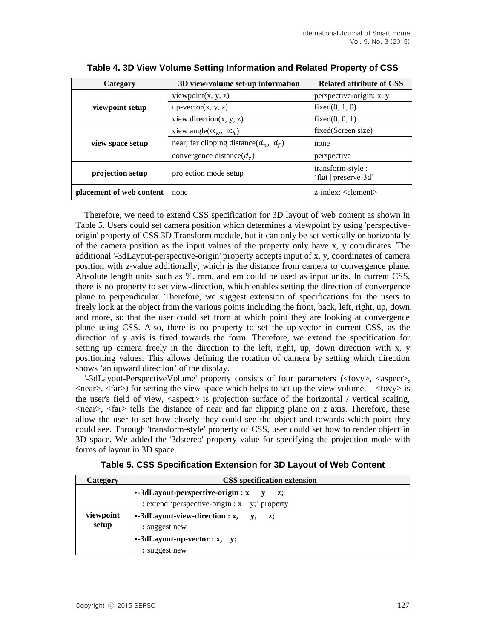| Category                 | 3D view-volume set-up information            | <b>Related attribute of CSS</b>           |
|--------------------------|----------------------------------------------|-------------------------------------------|
| viewpoint setup          | viewpoint $(x, y, z)$                        | perspective-origin: x, y                  |
|                          | $up-vector(x, y, z)$                         | fixed $(0, 1, 0)$                         |
|                          | view direction $(x, y, z)$                   | fixed $(0, 0, 1)$                         |
| view space setup         | view angle( $\alpha_w$ , $\alpha_h$ )        | fixed(Screen size)                        |
|                          | near, far clipping distance( $d_n$ , $d_f$ ) | none                                      |
|                          | convergence distance( $d_c$ )                | perspective                               |
| projection setup         | projection mode setup                        | transform-style :<br>'flat   preserve-3d' |
| placement of web content | none                                         | $z$ -index: $\leq$ element $>$            |

**Table 4. 3D View Volume Setting Information and Related Property of CSS**

Therefore, we need to extend CSS specification for 3D layout of web content as shown in Table 5. Users could set camera position which determines a viewpoint by using 'perspectiveorigin' property of CSS 3D Transform module, but it can only be set vertically or horizontally of the camera position as the input values of the property only have x, y coordinates. The additional '-3dLayout-perspective-origin' property accepts input of x, y, coordinates of camera position with z-value additionally, which is the distance from camera to convergence plane. Absolute length units such as %, mm, and em could be used as input units. In current CSS, there is no property to set view-direction, which enables setting the direction of convergence plane to perpendicular. Therefore, we suggest extension of specifications for the users to freely look at the object from the various points including the front, back, left, right, up, down, and more, so that the user could set from at which point they are looking at convergence plane using CSS. Also, there is no property to set the up-vector in current CSS, as the direction of y axis is fixed towards the form. Therefore, we extend the specification for setting up camera freely in the direction to the left, right, up, down direction with x, y positioning values. This allows defining the rotation of camera by setting which direction shows 'an upward direction' of the display.

'-3dLayout-PerspectiveVolume' property consists of four parameters (<fovy>, <aspect>,  $\langle$  =  $\langle$  far> $\rangle$  for setting the view space which helps to set up the view volume.  $\langle$  fovy> is the user's field of view, <aspect> is projection surface of the horizontal / vertical scaling,  $\langle$  -chear>,  $\langle$  far $\rangle$  tells the distance of near and far clipping plane on z axis. Therefore, these allow the user to set how closely they could see the object and towards which point they could see. Through 'transform-style' property of CSS, user could set how to render object in 3D space. We added the '3dstereo' property value for specifying the projection mode with forms of layout in 3D space.

| Table 5. CSS Specification Extension for 3D Layout of Web Content |                                    |
|-------------------------------------------------------------------|------------------------------------|
| Category                                                          | <b>CSS</b> specification extension |

| Category  | <b>CSS</b> specification extension                                                        |
|-----------|-------------------------------------------------------------------------------------------|
|           | $\cdot$ -3dLayout-perspective-origin : x<br>: extend 'perspective-origin : x y;' property |
| viewpoint | •-3dLayout-view-direction : x,<br>$\mathbf{v}_{\bullet}$<br>z:                            |
| setup     | : suggest new                                                                             |
|           | $\cdot$ -3dLayout-up-vector : x, y;                                                       |
|           | : suggest new                                                                             |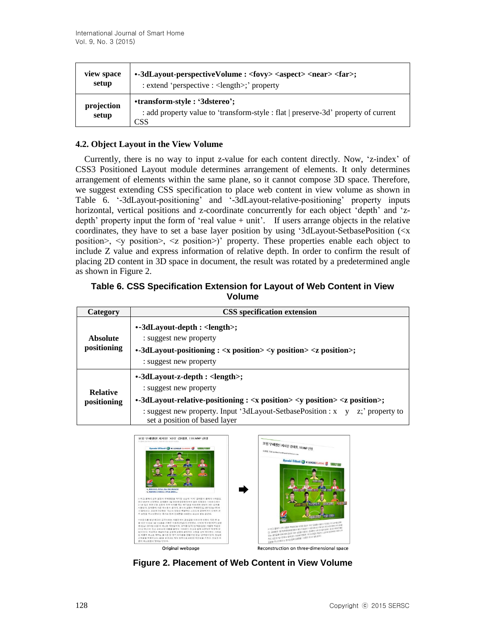| view space          | •-3dLayout-perspectiveVolume : <fovy> <aspect> <near> <far>;</far></near></aspect></fovy>                                  |
|---------------------|----------------------------------------------------------------------------------------------------------------------------|
| setup               | : extend 'perspective : < length>;' property                                                                               |
| projection<br>setup | •transform-style: '3dstereo';<br>: add property value to 'transform-style : flat   preserve-3d' property of current<br>CSS |

#### **4.2. Object Layout in the View Volume**

Currently, there is no way to input z-value for each content directly. Now, 'z-index' of CSS3 Positioned Layout module determines arrangement of elements. It only determines arrangement of elements within the same plane, so it cannot compose 3D space. Therefore, we suggest extending CSS specification to place web content in view volume as shown in Table 6. '-3dLayout-positioning' and '-3dLayout-relative-positioning' property inputs horizontal, vertical positions and z-coordinate concurrently for each object 'depth' and 'zdepth' property input the form of 'real value + unit'. If users arrange objects in the relative coordinates, they have to set a base layer position by using '3dLayout-SetbasePosition (<x position>, <y position>, <z position>)' property. These properties enable each object to include Z value and express information of relative depth. In order to confirm the result of placing 2D content in 3D space in document, the result was rotated by a predetermined angle as shown in Figure 2.

#### **Table 6. CSS Specification Extension for Layout of Web Content in View Volume**

| Category                       | <b>CSS</b> specification extension                                                                                                                                                                                                                                                                |
|--------------------------------|---------------------------------------------------------------------------------------------------------------------------------------------------------------------------------------------------------------------------------------------------------------------------------------------------|
| <b>Absolute</b><br>positioning | •-3dLayout-depth : <length>;<br/>: suggest new property<br/><math>\cdot</math>-3dLayout-positioning : <math>\langle x \rangle</math> position <math>\langle y \rangle</math> position <math>\langle z \rangle</math> position <math>\langle z \rangle</math>;<br/>: suggest new property</length> |
| <b>Relative</b><br>positioning | •-3dLayout-z-depth : <length>;<br/>: suggest new property<br/>•-3dLayout-relative-positioning : <x position=""> <y position=""> <z position="">;<br/>: suggest new property. Input '3dLayout-SetbasePosition : x y z;' property to<br/>set a position of based layer</z></y></x></length>         |



**Figure 2. Placement of Web Content in View Volume**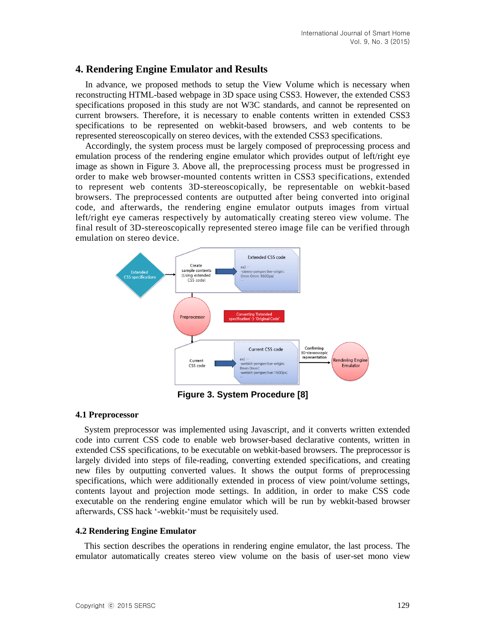#### **4. Rendering Engine Emulator and Results**

In advance, we proposed methods to setup the View Volume which is necessary when reconstructing HTML-based webpage in 3D space using CSS3. However, the extended CSS3 specifications proposed in this study are not W3C standards, and cannot be represented on current browsers. Therefore, it is necessary to enable contents written in extended CSS3 specifications to be represented on webkit-based browsers, and web contents to be represented stereoscopically on stereo devices, with the extended CSS3 specifications.

Accordingly, the system process must be largely composed of preprocessing process and emulation process of the rendering engine emulator which provides output of left/right eye image as shown in Figure 3. Above all, the preprocessing process must be progressed in order to make web browser-mounted contents written in CSS3 specifications, extended to represent web contents 3D-stereoscopically, be representable on webkit-based browsers. The preprocessed contents are outputted after being converted into original code, and afterwards, the rendering engine emulator outputs images from virtual left/right eye cameras respectively by automatically creating stereo view volume. The final result of 3D-stereoscopically represented stereo image file can be verified through emulation on stereo device.



**Figure 3. System Procedure [8]**

#### **4.1 Preprocessor**

System preprocessor was implemented using Javascript, and it converts written extended code into current CSS code to enable web browser-based declarative contents, written in extended CSS specifications, to be executable on webkit-based browsers. The preprocessor is largely divided into steps of file-reading, converting extended specifications, and creating new files by outputting converted values. It shows the output forms of preprocessing specifications, which were additionally extended in process of view point/volume settings, contents layout and projection mode settings. In addition, in order to make CSS code executable on the rendering engine emulator which will be run by webkit-based browser afterwards, CSS hack '-webkit-'must be requisitely used.

#### **4.2 Rendering Engine Emulator**

This section describes the operations in rendering engine emulator, the last process. The emulator automatically creates stereo view volume on the basis of user-set mono view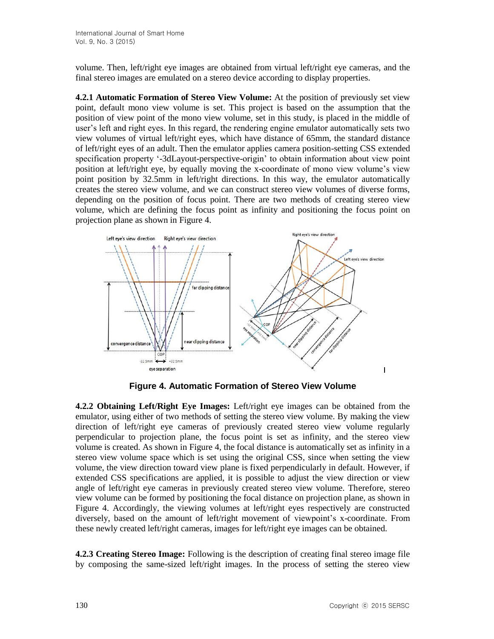volume. Then, left/right eye images are obtained from virtual left/right eye cameras, and the final stereo images are emulated on a stereo device according to display properties.

**4.2.1 Automatic Formation of Stereo View Volume:** At the position of previously set view point, default mono view volume is set. This project is based on the assumption that the position of view point of the mono view volume, set in this study, is placed in the middle of user's left and right eyes. In this regard, the rendering engine emulator automatically sets two view volumes of virtual left/right eyes, which have distance of 65mm, the standard distance of left/right eyes of an adult. Then the emulator applies camera position-setting CSS extended specification property '-3dLayout-perspective-origin' to obtain information about view point position at left/right eye, by equally moving the x-coordinate of mono view volume's view point position by 32.5mm in left/right directions. In this way, the emulator automatically creates the stereo view volume, and we can construct stereo view volumes of diverse forms, depending on the position of focus point. There are two methods of creating stereo view volume, which are defining the focus point as infinity and positioning the focus point on projection plane as shown in Figure 4.



**Figure 4. Automatic Formation of Stereo View Volume**

**4.2.2 Obtaining Left/Right Eye Images:** Left/right eye images can be obtained from the emulator, using either of two methods of setting the stereo view volume. By making the view direction of left/right eye cameras of previously created stereo view volume regularly perpendicular to projection plane, the focus point is set as infinity, and the stereo view volume is created. As shown in Figure 4, the focal distance is automatically set as infinity in a stereo view volume space which is set using the original CSS, since when setting the view volume, the view direction toward view plane is fixed perpendicularly in default. However, if extended CSS specifications are applied, it is possible to adjust the view direction or view angle of left/right eye cameras in previously created stereo view volume. Therefore, stereo view volume can be formed by positioning the focal distance on projection plane, as shown in Figure 4. Accordingly, the viewing volumes at left/right eyes respectively are constructed diversely, based on the amount of left/right movement of viewpoint's x-coordinate. From these newly created left/right cameras, images for left/right eye images can be obtained.

**4.2.3 Creating Stereo Image:** Following is the description of creating final stereo image file by composing the same-sized left/right images. In the process of setting the stereo view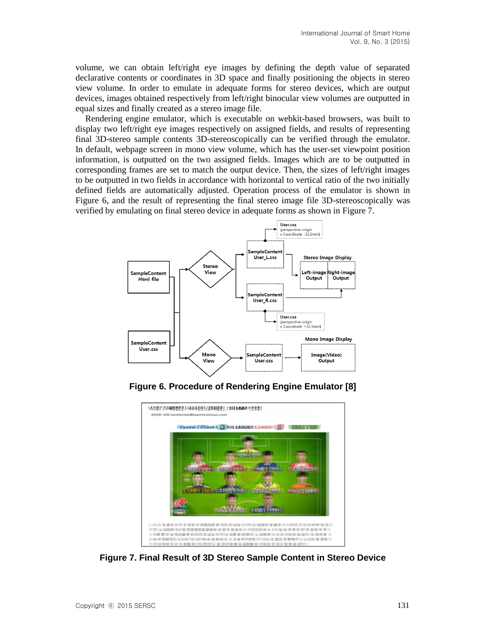volume, we can obtain left/right eye images by defining the depth value of separated declarative contents or coordinates in 3D space and finally positioning the objects in stereo view volume. In order to emulate in adequate forms for stereo devices, which are output devices, images obtained respectively from left/right binocular view volumes are outputted in equal sizes and finally created as a stereo image file.

Rendering engine emulator, which is executable on webkit-based browsers, was built to display two left/right eye images respectively on assigned fields, and results of representing final 3D-stereo sample contents 3D-stereoscopically can be verified through the emulator. In default, webpage screen in mono view volume, which has the user-set viewpoint position information, is outputted on the two assigned fields. Images which are to be outputted in corresponding frames are set to match the output device. Then, the sizes of left/right images to be outputted in two fields in accordance with horizontal to vertical ratio of the two initially defined fields are automatically adjusted. Operation process of the emulator is shown in Figure 6, and the result of representing the final stereo image file 3D-stereoscopically was verified by emulating on final stereo device in adequate forms as shown in Figure 7.



**Figure 6. Procedure of Rendering Engine Emulator [8]**



**Figure 7. Final Result of 3D Stereo Sample Content in Stereo Device**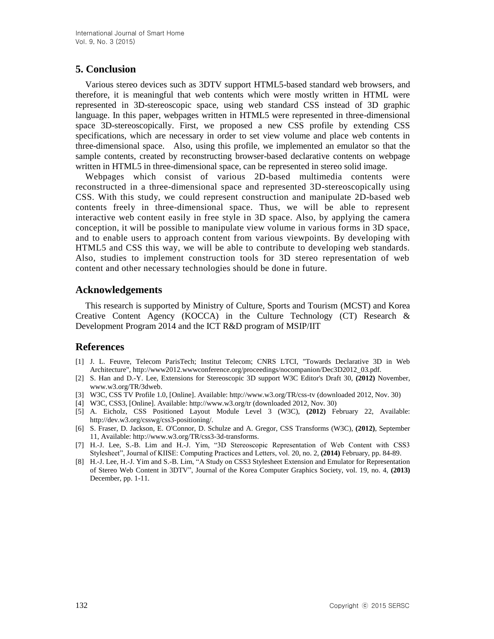# **5. Conclusion**

Various stereo devices such as 3DTV support HTML5-based standard web browsers, and therefore, it is meaningful that web contents which were mostly written in HTML were represented in 3D-stereoscopic space, using web standard CSS instead of 3D graphic language. In this paper, webpages written in HTML5 were represented in three-dimensional space 3D-stereoscopically. First, we proposed a new CSS profile by extending CSS specifications, which are necessary in order to set view volume and place web contents in three-dimensional space. Also, using this profile, we implemented an emulator so that the sample contents, created by reconstructing browser-based declarative contents on webpage written in HTML5 in three-dimensional space, can be represented in stereo solid image.

Webpages which consist of various 2D-based multimedia contents were reconstructed in a three-dimensional space and represented 3D-stereoscopically using CSS. With this study, we could represent construction and manipulate 2D-based web contents freely in three-dimensional space. Thus, we will be able to represent interactive web content easily in free style in 3D space. Also, by applying the camera conception, it will be possible to manipulate view volume in various forms in 3D space, and to enable users to approach content from various viewpoints. By developing with HTML5 and CSS this way, we will be able to contribute to developing web standards. Also, studies to implement construction tools for 3D stereo representation of web content and other necessary technologies should be done in future.

## **Acknowledgements**

This research is supported by Ministry of Culture, Sports and Tourism (MCST) and Korea Creative Content Agency (KOCCA) in the Culture Technology (CT) Research & Development Program 2014 and the ICT R&D program of MSIP/IIT

## **References**

- [1] J. L. Feuvre, Telecom ParisTech; Institut Telecom; CNRS LTCI, "Towards Declarative 3D in Web Architecture", http://www2012.wwwconference.org/proceedings/nocompanion/Dec3D2012\_03.pdf.
- [2] S. Han and D.-Y. Lee, Extensions for Stereoscopic 3D support W3C Editor's Draft 30, **(2012)** November, www.w3.org/TR/3dweb.
- [3] W3C, CSS TV Profile 1.0, [Online]. Available: http://www.w3.org/TR/css-tv (downloaded 2012, Nov. 30)
- [4] W3C, CSS3, [Online]. Available: http://www.w3.org/tr (downloaded 2012, Nov. 30)
- [5] A. Eicholz, CSS Positioned Layout Module Level 3 (W3C), **(2012)** February 22, Available: http://dev.w3.org/csswg/css3-positioning/.
- [6] S. Fraser, D. Jackson, E. O'Connor, D. Schulze and A. Gregor, CSS Transforms (W3C), **(2012)**, September 11, Available: http://www.w3.org/TR/css3-3d-transforms.
- [7] H.-J. Lee, S.-B. Lim and H.-J. Yim, "3D Stereoscopic Representation of Web Content with CSS3 Stylesheet", Journal of KIISE: Computing Practices and Letters, vol. 20, no. 2, **(2014)** February, pp. 84-89.
- [8] H.-J. Lee, H.-J. Yim and S.-B. Lim, "A Study on CSS3 Stylesheet Extension and Emulator for Representation of Stereo Web Content in 3DTV", Journal of the Korea Computer Graphics Society, vol. 19, no. 4, **(2013)** December, pp. 1-11.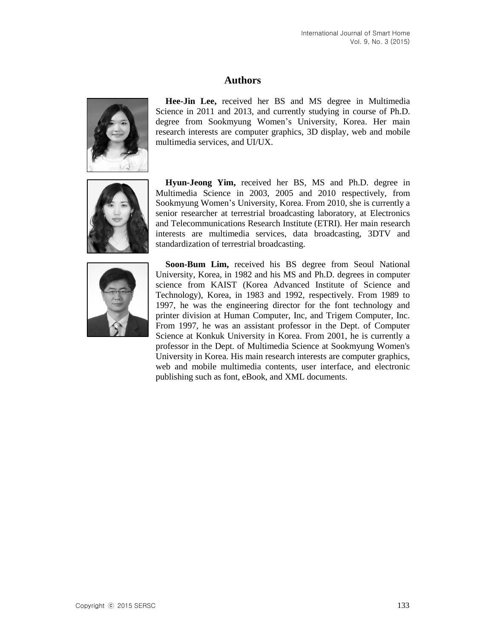### **Authors**



**Hee-Jin Lee,** received her BS and MS degree in Multimedia Science in 2011 and 2013, and currently studying in course of Ph.D. degree from Sookmyung Women's University, Korea. Her main research interests are computer graphics, 3D display, web and mobile multimedia services, and UI/UX.



**Hyun-Jeong Yim,** received her BS, MS and Ph.D. degree in Multimedia Science in 2003, 2005 and 2010 respectively, from Sookmyung Women's University, Korea. From 2010, she is currently a senior researcher at terrestrial broadcasting laboratory, at Electronics and Telecommunications Research Institute (ETRI). Her main research interests are multimedia services, data broadcasting, 3DTV and standardization of terrestrial broadcasting.



**Soon-Bum Lim,** received his BS degree from Seoul National University, Korea, in 1982 and his MS and Ph.D. degrees in computer science from KAIST (Korea Advanced Institute of Science and Technology), Korea, in 1983 and 1992, respectively. From 1989 to 1997, he was the engineering director for the font technology and printer division at Human Computer, Inc, and Trigem Computer, Inc. From 1997, he was an assistant professor in the Dept. of Computer Science at Konkuk University in Korea. From 2001, he is currently a professor in the Dept. of Multimedia Science at Sookmyung Women's University in Korea. His main research interests are computer graphics, web and mobile multimedia contents, user interface, and electronic publishing such as font, eBook, and XML documents.